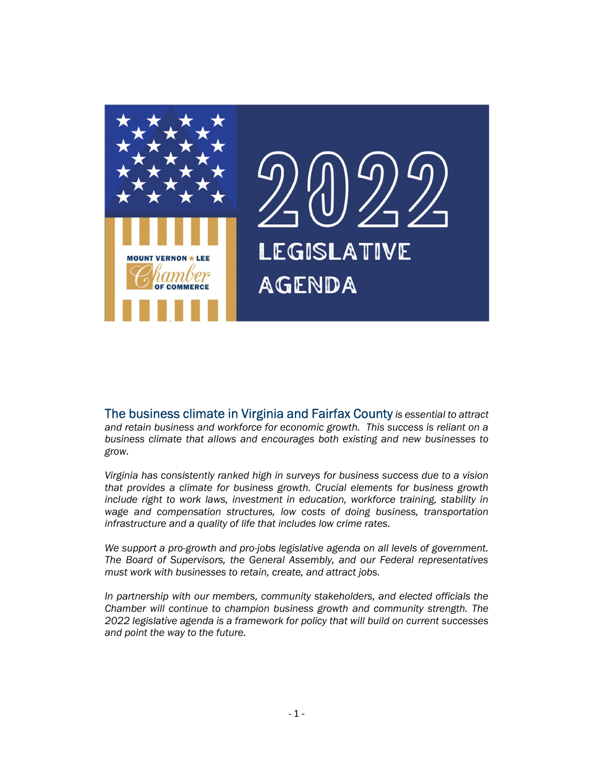

LEGISLATIVE **AGENDA** 

The business climate in Virginia and Fairfax County is essential to attract and retain business and workforce for economic growth. This success is reliant on a business climate that allows and encourages both existing and new businesses to grow.

Virginia has consistently ranked high in surveys for business success due to a vision that provides a climate for business growth. Crucial elements for business growth include right to work laws, investment in education, workforce training, stability in wage and compensation structures, low costs of doing business, transportation infrastructure and a quality of life that includes low crime rates.

We support a pro-growth and pro-jobs legislative agenda on all levels of government. The Board of Supervisors, the General Assembly, and our Federal representatives must work with businesses to retain, create, and attract jobs.

In partnership with our members, community stakeholders, and elected officials the Chamber will continue to champion business growth and community strength. The 2022 legislative agenda is a framework for policy that will build on current successes and point the way to the future.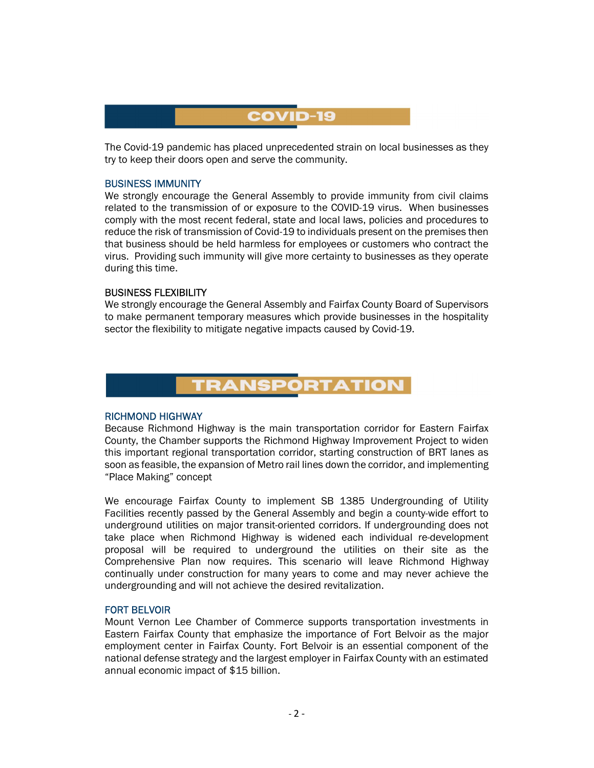## **COVID-19**

The Covid-19 pandemic has placed unprecedented strain on local businesses as they try to keep their doors open and serve the community.

### BUSINESS IMMUNITY

We strongly encourage the General Assembly to provide immunity from civil claims related to the transmission of or exposure to the COVID-19 virus. When businesses comply with the most recent federal, state and local laws, policies and procedures to reduce the risk of transmission of Covid-19 to individuals present on the premises then that business should be held harmless for employees or customers who contract the virus. Providing such immunity will give more certainty to businesses as they operate during this time.

#### BUSINESS FLEXIBILITY

We strongly encourage the General Assembly and Fairfax County Board of Supervisors to make permanent temporary measures which provide businesses in the hospitality sector the flexibility to mitigate negative impacts caused by Covid-19.



#### RICHMOND HIGHWAY

Because Richmond Highway is the main transportation corridor for Eastern Fairfax County, the Chamber supports the Richmond Highway Improvement Project to widen this important regional transportation corridor, starting construction of BRT lanes as soon as feasible, the expansion of Metro rail lines down the corridor, and implementing "Place Making" concept

We encourage Fairfax County to implement SB 1385 Undergrounding of Utility Facilities recently passed by the General Assembly and begin a county-wide effort to underground utilities on major transit-oriented corridors. If undergrounding does not take place when Richmond Highway is widened each individual re-development proposal will be required to underground the utilities on their site as the Comprehensive Plan now requires. This scenario will leave Richmond Highway continually under construction for many years to come and may never achieve the undergrounding and will not achieve the desired revitalization.

#### FORT BELVOIR

Mount Vernon Lee Chamber of Commerce supports transportation investments in Eastern Fairfax County that emphasize the importance of Fort Belvoir as the major employment center in Fairfax County. Fort Belvoir is an essential component of the national defense strategy and the largest employer in Fairfax County with an estimated annual economic impact of \$15 billion.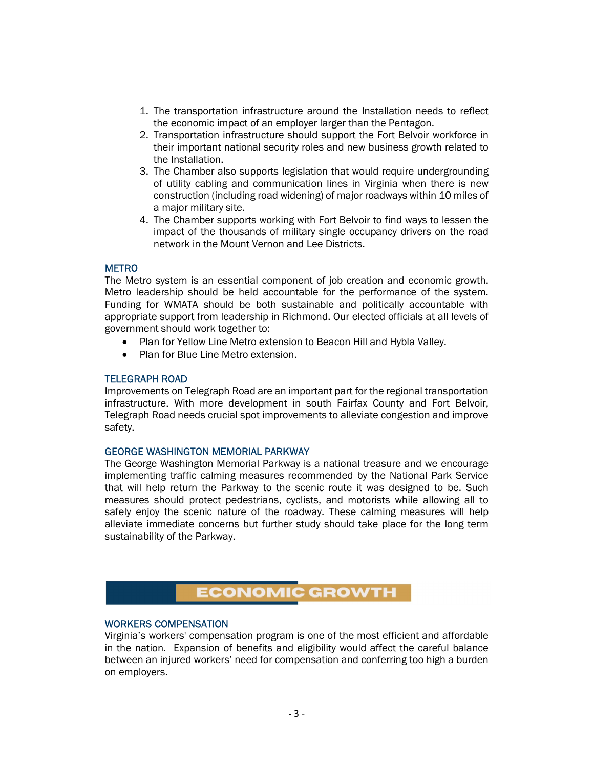- 1. The transportation infrastructure around the Installation needs to reflect the economic impact of an employer larger than the Pentagon.
- 2. Transportation infrastructure should support the Fort Belvoir workforce in their important national security roles and new business growth related to the Installation.
- 3. The Chamber also supports legislation that would require undergrounding of utility cabling and communication lines in Virginia when there is new construction (including road widening) of major roadways within 10 miles of a major military site.
- 4. The Chamber supports working with Fort Belvoir to find ways to lessen the impact of the thousands of military single occupancy drivers on the road network in the Mount Vernon and Lee Districts.

## **METRO**

The Metro system is an essential component of job creation and economic growth. Metro leadership should be held accountable for the performance of the system. Funding for WMATA should be both sustainable and politically accountable with appropriate support from leadership in Richmond. Our elected officials at all levels of government should work together to:

- Plan for Yellow Line Metro extension to Beacon Hill and Hybla Valley.
- Plan for Blue Line Metro extension.

## TELEGRAPH ROAD

Improvements on Telegraph Road are an important part for the regional transportation infrastructure. With more development in south Fairfax County and Fort Belvoir, Telegraph Road needs crucial spot improvements to alleviate congestion and improve safety.

#### GEORGE WASHINGTON MEMORIAL PARKWAY

The George Washington Memorial Parkway is a national treasure and we encourage implementing traffic calming measures recommended by the National Park Service that will help return the Parkway to the scenic route it was designed to be. Such measures should protect pedestrians, cyclists, and motorists while allowing all to safely enjoy the scenic nature of the roadway. These calming measures will help alleviate immediate concerns but further study should take place for the long term sustainability of the Parkway.

# **ECONOMIC GROWTH**

### WORKERS COMPENSATION

Virginia's workers' compensation program is one of the most efficient and affordable in the nation. Expansion of benefits and eligibility would affect the careful balance between an injured workers' need for compensation and conferring too high a burden on employers.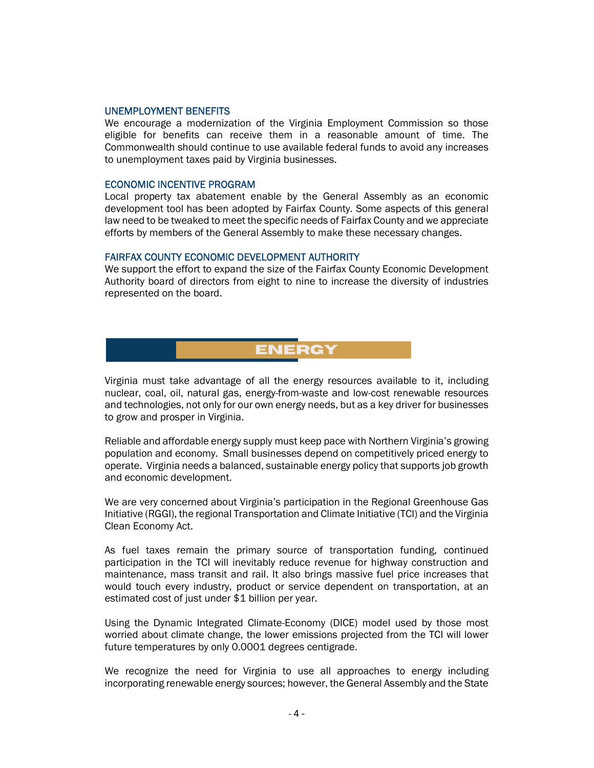#### UNEMPLOYMENT BENEFITS

We encourage a modernization of the Virginia Employment Commission so those eligible for benefits can receive them in a reasonable amount of time. The Commonwealth should continue to use available federal funds to avoid any increases to unemployment taxes paid by Virginia businesses.

#### ECONOMIC INCENTIVE PROGRAM

Local property tax abatement enable by the General Assembly as an economic development tool has been adopted by Fairfax County. Some aspects of this general law need to be tweaked to meet the specific needs of Fairfax County and we appreciate efforts by members of the General Assembly to make these necessary changes.

#### FAIRFAX COUNTY ECONOMIC DEVELOPMENT AUTHORITY

We support the effort to expand the size of the Fairfax County Economic Development Authority board of directors from eight to nine to increase the diversity of industries represented on the board.

Virginia must take advantage of all the energy resources available to it, including nuclear, coal, oil, natural gas, energy-from-waste and low-cost renewable resources and technologies, not only for our own energy needs, but as a key driver for businesses to grow and prosper in Virginia.

**ENERG** 

Reliable and affordable energy supply must keep pace with Northern Virginia's growing population and economy. Small businesses depend on competitively priced energy to operate. Virginia needs a balanced, sustainable energy policy that supports job growth and economic development.

We are very concerned about Virginia's participation in the Regional Greenhouse Gas Initiative (RGGI), the regional Transportation and Climate Initiative (TCI) and the Virginia Clean Economy Act.

As fuel taxes remain the primary source of transportation funding, continued participation in the TCI will inevitably reduce revenue for highway construction and maintenance, mass transit and rail. It also brings massive fuel price increases that would touch every industry, product or service dependent on transportation, at an estimated cost of just under \$1 billion per year.

Using the Dynamic Integrated Climate-Economy (DICE) model used by those most worried about climate change, the lower emissions projected from the TCI will lower future temperatures by only 0.0001 degrees centigrade.

We recognize the need for Virginia to use all approaches to energy including incorporating renewable energy sources; however, the General Assembly and the State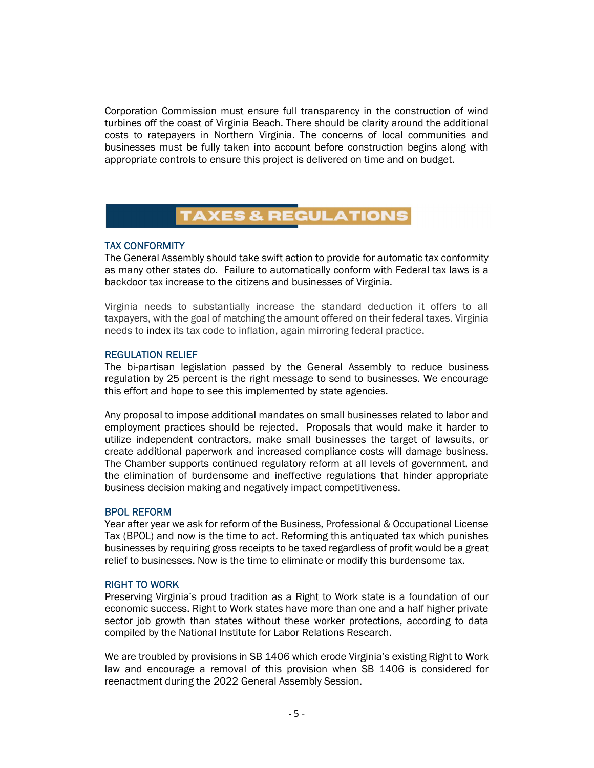Corporation Commission must ensure full transparency in the construction of wind turbines off the coast of Virginia Beach. There should be clarity around the additional costs to ratepayers in Northern Virginia. The concerns of local communities and businesses must be fully taken into account before construction begins along with appropriate controls to ensure this project is delivered on time and on budget.

## **TAXES & REGULATIONS**

## TAX CONFORMITY

The General Assembly should take swift action to provide for automatic tax conformity as many other states do. Failure to automatically conform with Federal tax laws is a backdoor tax increase to the citizens and businesses of Virginia.

Virginia needs to substantially increase the standard deduction it offers to all taxpayers, with the goal of matching the amount offered on their federal taxes. Virginia needs to index its tax code to inflation, again mirroring federal practice.

## REGULATION RELIEF

The bi-partisan legislation passed by the General Assembly to reduce business regulation by 25 percent is the right message to send to businesses. We encourage this effort and hope to see this implemented by state agencies.

Any proposal to impose additional mandates on small businesses related to labor and employment practices should be rejected. Proposals that would make it harder to utilize independent contractors, make small businesses the target of lawsuits, or create additional paperwork and increased compliance costs will damage business. The Chamber supports continued regulatory reform at all levels of government, and the elimination of burdensome and ineffective regulations that hinder appropriate business decision making and negatively impact competitiveness.

## BPOL REFORM

Year after year we ask for reform of the Business, Professional & Occupational License Tax (BPOL) and now is the time to act. Reforming this antiquated tax which punishes businesses by requiring gross receipts to be taxed regardless of profit would be a great relief to businesses. Now is the time to eliminate or modify this burdensome tax.

## RIGHT TO WORK

Preserving Virginia's proud tradition as a Right to Work state is a foundation of our economic success. Right to Work states have more than one and a half higher private sector job growth than states without these worker protections, according to data compiled by the National Institute for Labor Relations Research.

We are troubled by provisions in SB 1406 which erode Virginia's existing Right to Work law and encourage a removal of this provision when SB 1406 is considered for reenactment during the 2022 General Assembly Session.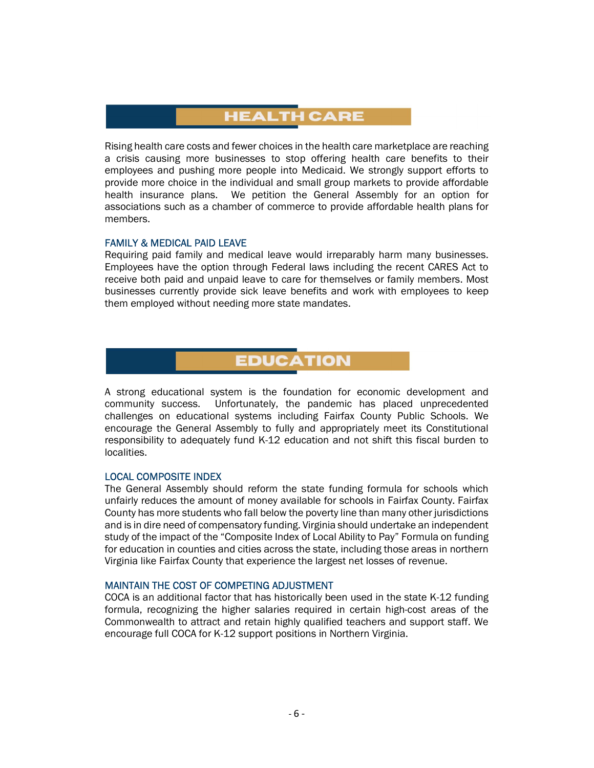# **HEALTH CARE**

Rising health care costs and fewer choices in the health care marketplace are reaching a crisis causing more businesses to stop offering health care benefits to their employees and pushing more people into Medicaid. We strongly support efforts to provide more choice in the individual and small group markets to provide affordable health insurance plans. We petition the General Assembly for an option for associations such as a chamber of commerce to provide affordable health plans for members.

#### FAMILY & MEDICAL PAID LEAVE

Requiring paid family and medical leave would irreparably harm many businesses. Employees have the option through Federal laws including the recent CARES Act to receive both paid and unpaid leave to care for themselves or family members. Most businesses currently provide sick leave benefits and work with employees to keep them employed without needing more state mandates.

## **EDUCATION**

A strong educational system is the foundation for economic development and community success. Unfortunately, the pandemic has placed unprecedented challenges on educational systems including Fairfax County Public Schools. We encourage the General Assembly to fully and appropriately meet its Constitutional responsibility to adequately fund K-12 education and not shift this fiscal burden to localities.

## LOCAL COMPOSITE INDEX

The General Assembly should reform the state funding formula for schools which unfairly reduces the amount of money available for schools in Fairfax County. Fairfax County has more students who fall below the poverty line than many other jurisdictions and is in dire need of compensatory funding. Virginia should undertake an independent study of the impact of the "Composite Index of Local Ability to Pay" Formula on funding for education in counties and cities across the state, including those areas in northern Virginia like Fairfax County that experience the largest net losses of revenue.

#### MAINTAIN THE COST OF COMPETING ADJUSTMENT

COCA is an additional factor that has historically been used in the state K-12 funding formula, recognizing the higher salaries required in certain high-cost areas of the Commonwealth to attract and retain highly qualified teachers and support staff. We encourage full COCA for K-12 support positions in Northern Virginia.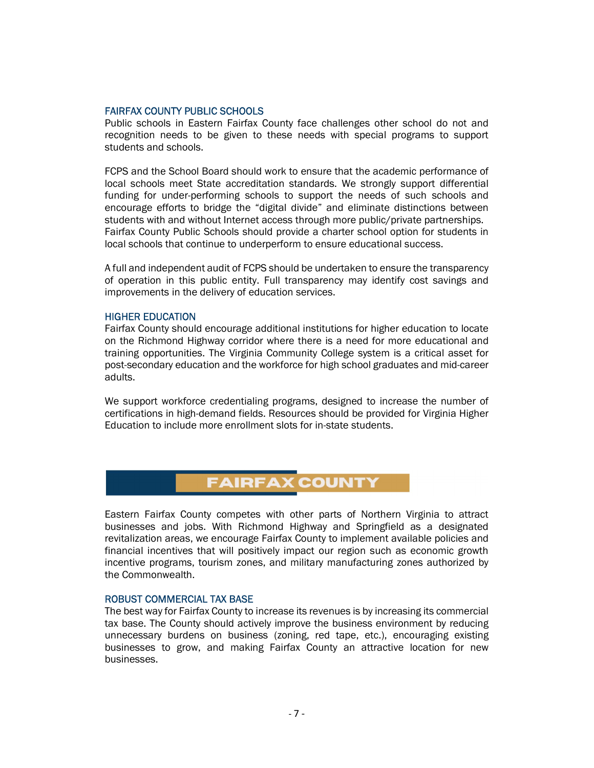#### FAIRFAX COUNTY PUBLIC SCHOOLS

Public schools in Eastern Fairfax County face challenges other school do not and recognition needs to be given to these needs with special programs to support students and schools.

FCPS and the School Board should work to ensure that the academic performance of local schools meet State accreditation standards. We strongly support differential funding for under-performing schools to support the needs of such schools and encourage efforts to bridge the "digital divide" and eliminate distinctions between students with and without Internet access through more public/private partnerships. Fairfax County Public Schools should provide a charter school option for students in local schools that continue to underperform to ensure educational success.

A full and independent audit of FCPS should be undertaken to ensure the transparency of operation in this public entity. Full transparency may identify cost savings and improvements in the delivery of education services.

### HIGHER EDUCATION

Fairfax County should encourage additional institutions for higher education to locate on the Richmond Highway corridor where there is a need for more educational and training opportunities. The Virginia Community College system is a critical asset for post-secondary education and the workforce for high school graduates and mid-career adults.

We support workforce credentialing programs, designed to increase the number of certifications in high-demand fields. Resources should be provided for Virginia Higher Education to include more enrollment slots for in-state students.

## **FAIRFAX COUNTY**

Eastern Fairfax County competes with other parts of Northern Virginia to attract businesses and jobs. With Richmond Highway and Springfield as a designated revitalization areas, we encourage Fairfax County to implement available policies and financial incentives that will positively impact our region such as economic growth incentive programs, tourism zones, and military manufacturing zones authorized by the Commonwealth.

## ROBUST COMMERCIAL TAX BASE

The best way for Fairfax County to increase its revenues is by increasing its commercial tax base. The County should actively improve the business environment by reducing unnecessary burdens on business (zoning, red tape, etc.), encouraging existing businesses to grow, and making Fairfax County an attractive location for new businesses.